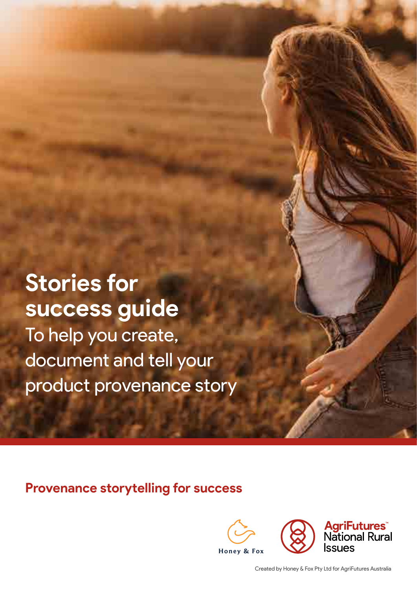**Stories for success guide** To help you create, document and tell your product provenance story

**Provenance storytelling for success**



Created by Honey & Fox Pty Ltd for AgriFutures Australia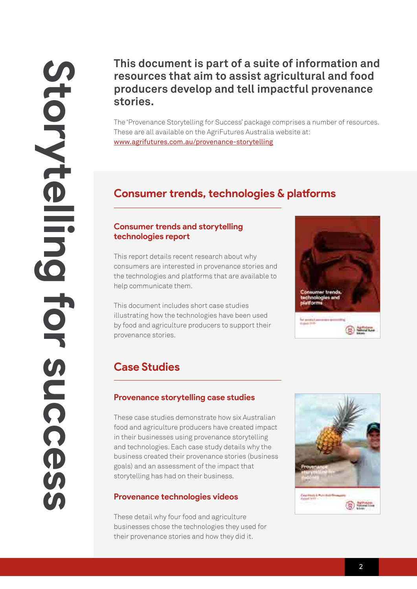## **This document is part of a suite of information and resources that aim to assist agricultural and food producers develop and tell impactful provenance stories.**

The 'Provenance Storytelling for Success' package comprises a number of resources. These are all available on the AgriFutures Australia website at: [www.agrifutures.com.au/provenance-storytelling](http://www.agrifutures.com.au/provenance-storytelling)

## **Consumer trends, technologies & platforms**

#### **Consumer trends and storytelling technologies report**

This report details recent research about why consumers are interested in provenance stories and the technologies and platforms that are available to help communicate them.

This document includes short case studies illustrating how the technologies have been used by food and agriculture producers to support their provenance stories.



## **Case Studies**

#### **Provenance storytelling case studies**

These case studies demonstrate how six Australian food and agriculture producers have created impact in their businesses using provenance storytelling and technologies. Each case study details why the business created their provenance stories (business goals) and an assessment of the impact that storytelling has had on their business.

### **Provenance technologies videos**

These detail why four food and agriculture businesses chose the technologies they used for their provenance stories and how they did it.

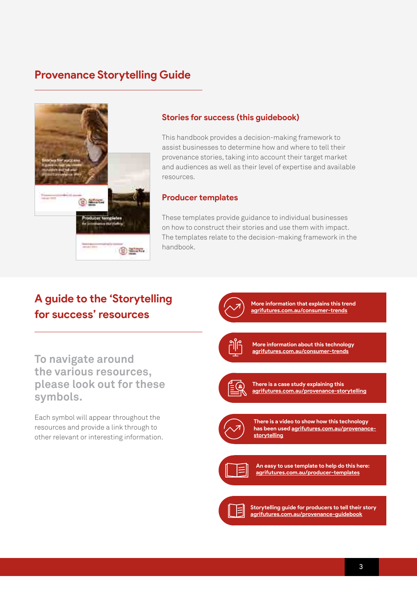## **Provenance Storytelling Guide**



#### **Stories for success (this guidebook)**

This handbook provides a decision-making framework to assist businesses to determine how and where to tell their provenance stories, taking into account their target market and audiences as well as their level of expertise and available resources.

#### **Producer templates**

These templates provide guidance to individual businesses on how to construct their stories and use them with impact. The templates relate to the decision-making framework in the handbook.

## **A guide to the 'Storytelling for success' resources**

**To navigate around the various resources, please look out for these symbols.**

Each symbol will appear throughout the resources and provide a link through to other relevant or interesting information.



**More information that explains this trend [agrifutures.com.au/consumer-trends](http://agrifutures.com.au/consumer-trends)**



**More information about this technology [agrifutures.com.au/consumer-trends](http://agrifutures.com.au/consumer-trends)**



**There is a case study explaining this [agrifutures.com.au/provenance-storytelling](http://agrifutures.com.au/provenance-storytelling)**



**There is a video to show how this technology has been used [agrifutures.com.au/provenance](http://agrifutures.com.au/provenance-storytelling)[storytelling](http://agrifutures.com.au/provenance-storytelling)**



**An easy to use template to help do this here: [agrifutures.com.au/producer-templates](http://agrifutures.com.au/producer-templates)**



**Storytelling guide for producers to tell their story [agrifutures.com.au/provenance-guidebook](http://agrifutures.com.au/provenance-guidebook)**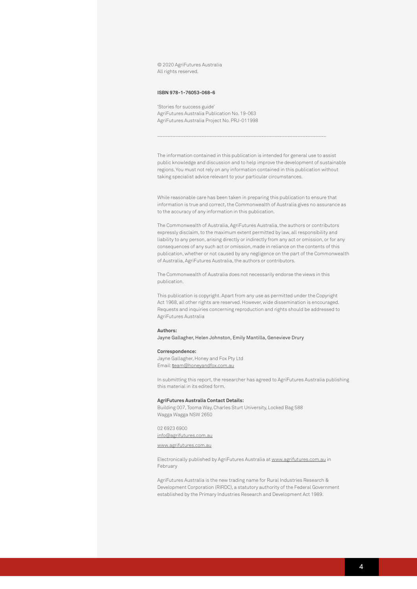© 2020 AgriFutures Australia All rights reserved.

#### **ISBN 978-1-76053-068-6**

'Stories for success guide' AgriFutures Australia Publication No. 19-063 AgriFutures Australia Project No. PRJ-011998

The information contained in this publication is intended for general use to assist public knowledge and discussion and to help improve the development of sustainable regions. You must not rely on any information contained in this publication without taking specialist advice relevant to your particular circumstances.

\_\_\_\_\_\_\_\_\_\_\_\_\_\_\_\_\_\_\_\_\_\_\_\_\_\_\_\_\_\_\_\_\_\_\_\_\_\_\_\_\_\_\_\_\_\_\_\_\_\_\_\_\_\_\_\_\_\_\_\_\_\_\_\_\_

While reasonable care has been taken in preparing this publication to ensure that information is true and correct, the Commonwealth of Australia gives no assurance as to the accuracy of any information in this publication.

The Commonwealth of Australia, AgriFutures Australia, the authors or contributors expressly disclaim, to the maximum extent permitted by law, all responsibility and liability to any person, arising directly or indirectly from any act or omission, or for any consequences of any such act or omission, made in reliance on the contents of this publication, whether or not caused by any negligence on the part of the Commonwealth of Australia, AgriFutures Australia, the authors or contributors.

The Commonwealth of Australia does not necessarily endorse the views in this publication.

This publication is copyright. Apart from any use as permitted under the Copyright Act 1968, all other rights are reserved. However, wide dissemination is encouraged. Requests and inquiries concerning reproduction and rights should be addressed to AgriFutures Australia

#### **Authors:**

Jayne Gallagher, Helen Johnston, Emily Mantilla, Genevieve Drury

#### **Correspondence:**

Jayne Gallagher, Honey and Fox Pty Ltd Email: t[eam@honeyandfox.com.au](http://team@honeyandfox.com.au)

In submitting this report, the researcher has agreed to AgriFutures Australia publishing this material in its edited form.

#### **AgriFutures Australia Contact Details:**

Building 007, Tooma Way, Charles Sturt University, Locked Bag 588 Wagga Wagga NSW 2650

02 6923 6900

#### [info@agrifutures.com.au](http://info@agrifutures.com.au)

#### [www.agrifutures.com.au](http://www.agrifutures.com.au)

Electronically published by AgriFutures Australia at [www.agrifutures.com.au](http://www.agrifutures.com.au) in February

AgriFutures Australia is the new trading name for Rural Industries Research & Development Corporation (RIRDC), a statutory authority of the Federal Government established by the Primary Industries Research and Development Act 1989.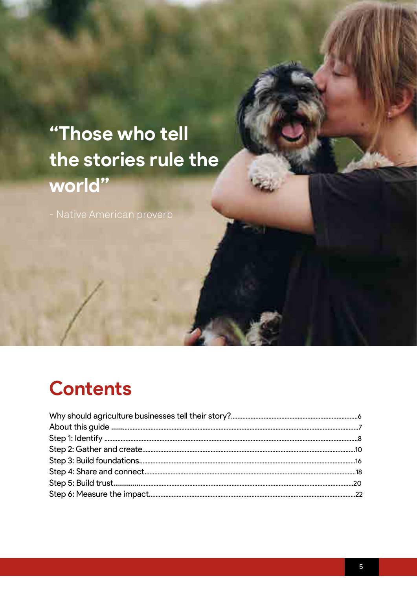# "Those who tell the stories rule the world"

## **Contents**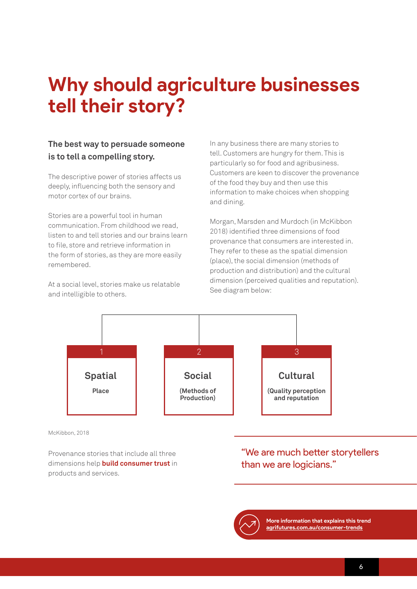## **Why should agriculture businesses tell their story?**

### **The best way to persuade someone is to tell a compelling story.**

The descriptive power of stories affects us deeply, influencing both the sensory and motor cortex of our brains.

Stories are a powerful tool in human communication. From childhood we read, listen to and tell stories and our brains learn to file, store and retrieve information in the form of stories, as they are more easily remembered.

At a social level, stories make us relatable and intelligible to others.

In any business there are many stories to tell. Customers are hungry for them. This is particularly so for food and agribusiness. Customers are keen to discover the provenance of the food they buy and then use this information to make choices when shopping and dining.

Morgan, Marsden and Murdoch (in McKibbon 2018) identified three dimensions of food provenance that consumers are interested in. They refer to these as the spatial dimension (place), the social dimension (methods of production and distribution) and the cultural dimension (perceived qualities and reputation). See diagram below:



McKibbon, 2018

Provenance stories that include all three dimensions help **build consumer trust** in products and services.

### "We are much better storytellers than we are logicians."



**More information that explains this trend [agrifutures.com.au/consumer-trends](http://agrifutures.com.au/consumer-trends)**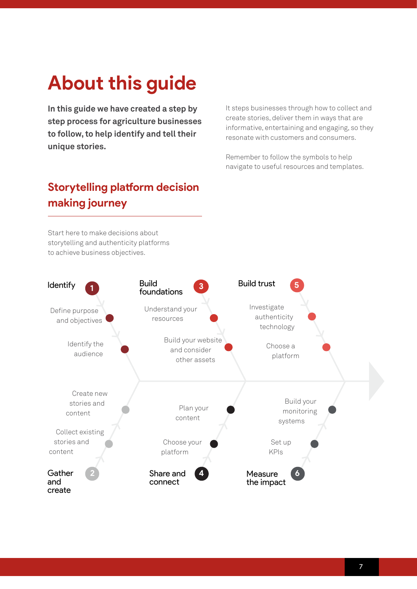# **About this guide**

**In this guide we have created a step by step process for agriculture businesses to follow, to help identify and tell their unique stories.** 

It steps businesses through how to collect and create stories, deliver them in ways that are informative, entertaining and engaging, so they resonate with customers and consumers.

Remember to follow the symbols to help navigate to useful resources and templates.

## **Storytelling platform decision making journey**

Start here to make decisions about storytelling and authenticity platforms to achieve business objectives.

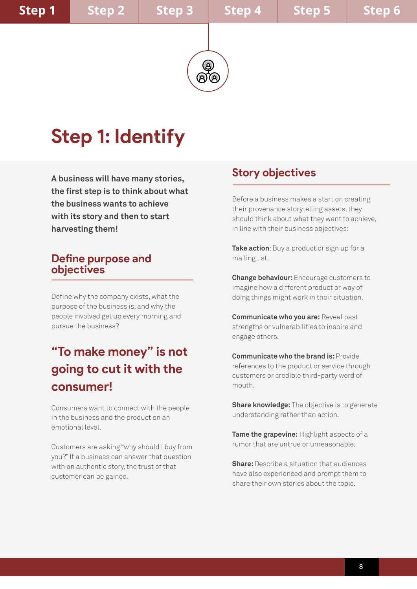# **Step 1: Identify**

**A business will have many stories, the first step is to think about what the business wants to achieve with its story and then to start harvesting them!**

### **Define purpose and objectives**

Define why the company exists, what the purpose of the business is, and why the people involved get up every morning and pursue the business?

## **"To make money" is not going to cut it with the consumer!**

Consumers want to connect with the people in the business and the product on an emotional level.

Customers are asking "why should I buy from you?" If a business can answer that question with an authentic story, the trust of that customer can be gained.

## **Story objectives**

Before a business makes a start on creating their provenance storytelling assets, they should think about what they want to achieve, in line with their business objectives:

**Take action**: Buy a product or sign up for a mailing list.

**Change behaviour:** Encourage customers to imagine how a different product or way of doing things might work in their situation.

**Communicate who you are:** Reveal past strengths or vulnerabilities to inspire and engage others.

**Communicate who the brand is:** Provide references to the product or service through customers or credible third-party word of mouth.

**Share knowledge:** The objective is to generate understanding rather than action.

**Tame the grapevine:** Highlight aspects of a rumor that are untrue or unreasonable.

**Share:** Describe a situation that audiences have also experienced and prompt them to share their own stories about the topic.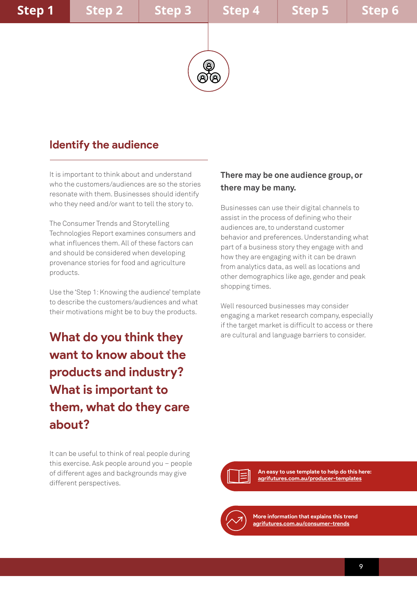

## **Identify the audience**

It is important to think about and understand who the customers/audiences are so the stories resonate with them. Businesses should identify who they need and/or want to tell the story to.

The Consumer Trends and Storytelling Technologies Report examines consumers and what influences them. All of these factors can and should be considered when developing provenance stories for food and agriculture products.

Use the 'Step 1: Knowing the audience' template to describe the customers/audiences and what their motivations might be to buy the products.

**What do you think they want to know about the products and industry? What is important to them, what do they care about?** 

#### **There may be one audience group, or there may be many.**

Businesses can use their digital channels to assist in the process of defining who their audiences are, to understand customer behavior and preferences. Understanding what part of a business story they engage with and how they are engaging with it can be drawn from analytics data, as well as locations and other demographics like age, gender and peak shopping times.

Well resourced businesses may consider engaging a market research company, especially if the target market is difficult to access or there are cultural and language barriers to consider.

It can be useful to think of real people during this exercise. Ask people around you – people of different ages and backgrounds may give different perspectives.



**An easy to use template to help do this here: [agrifutures.com.au/producer-templates](http://agrifutures.com.au/producer-templates)**

**More information that explains this trend [agrifutures.com.au/consumer-trends](http://agrifutures.com.au/consumer-trends)**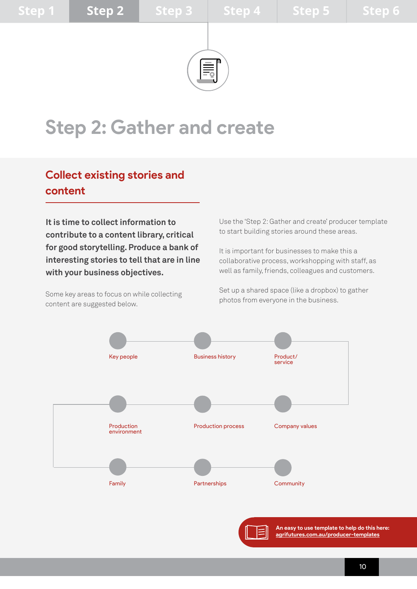

## **Step 2: Gather and create**

## **Collect existing stories and content**

**It is time to collect information to contribute to a content library, critical for good storytelling. Produce a bank of interesting stories to tell that are in line with your business objectives.**

Some key areas to focus on while collecting content are suggested below.

Use the 'Step 2: Gather and create' producer template to start building stories around these areas.

It is important for businesses to make this a collaborative process, workshopping with staff, as well as family, friends, colleagues and customers.

Set up a shared space (like a dropbox) to gather photos from everyone in the business.



**An easy to use template to help do this here: [agrifutures.com.au/producer-templates](http://agrifutures.com.au/producer-templates)**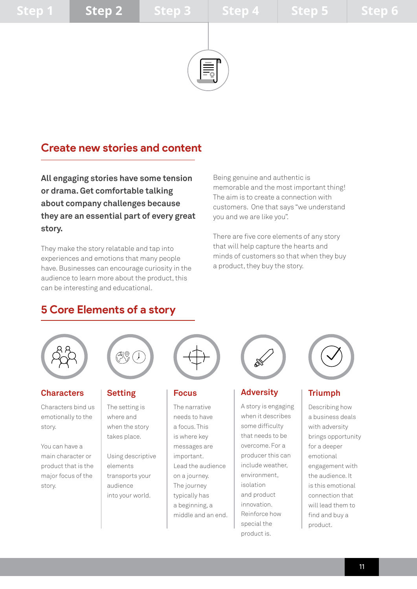

## **Create new stories and content**

**All engaging stories have some tension or drama. Get comfortable talking about company challenges because they are an essential part of every great story.** 

They make the story relatable and tap into experiences and emotions that many people have. Businesses can encourage curiosity in the audience to learn more about the product, this can be interesting and educational.

Being genuine and authentic is memorable and the most important thing! The aim is to create a connection with customers. One that says "we understand you and we are like you".

There are five core elements of any story that will help capture the hearts and minds of customers so that when they buy a product, they buy the story.

## **5 Core Elements of a story**



#### **Characters**

Characters bind us emotionally to the story.

You can have a main character or product that is the major focus of the story.



#### **Setting**

The setting is where and when the story takes place.

Using descriptive elements transports your audience into your world.



#### **Focus**

The narrative needs to have a focus. This is where key messages are important. Lead the audience on a journey. The journey typically has a beginning, a middle and an end.



#### **Adversity**

A story is engaging when it describes some difficulty that needs to be overcome. For a producer this can include weather, environment, isolation and product innovation. Reinforce how special the product is.



#### **Triumph**

Describing how a business deals with adversity brings opportunity for a deeper emotional engagement with the audience. It is this emotional connection that will lead them to find and buy a product.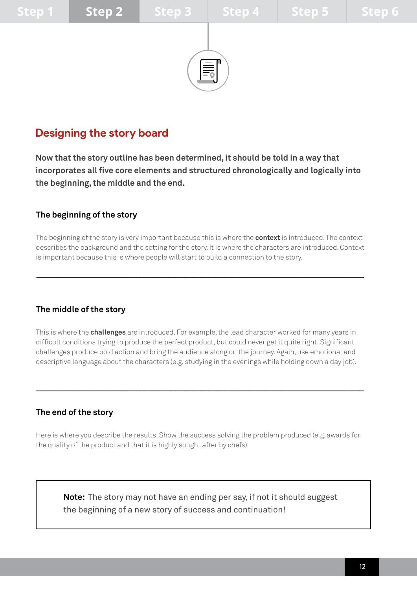

## **Designing the story board**

**Now that the story outline has been determined, it should be told in a way that incorporates all five core elements and structured chronologically and logically into the beginning, the middle and the end.**

### **The beginning of the story**

The beginning of the story is very important because this is where the **context** is introduced. The context describes the background and the setting for the story. It is where the characters are introduced. Context is important because this is where people will start to build a connection to the story.

 $--\frac{1}{2}$ 

### **The middle of the story**

This is where the **challenges** are introduced. For example, the lead character worked for many years in difficult conditions trying to produce the perfect product, but could never get it quite right. Significant challenges produce bold action and bring the audience along on the journey. Again, use emotional and descriptive language about the characters (e.g. studying in the evenings while holding down a day job).

#### **The end of the story**

Here is where you describe the results. Show the success solving the problem produced (e.g. awards for the quality of the product and that it is highly sought after by chefs).

 $--\frac{1}{2}$ 

**Note:** The story may not have an ending per say, if not it should suggest the beginning of a new story of success and continuation!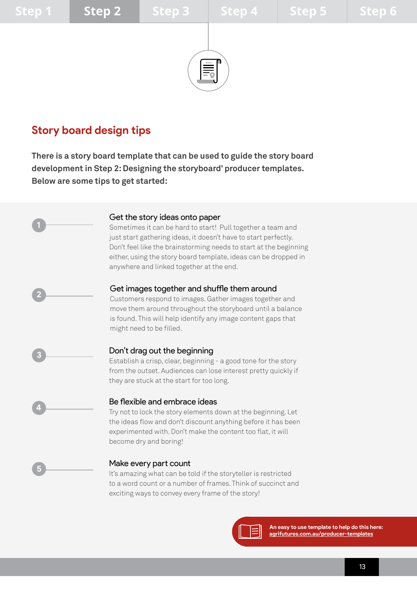**1**

**2**

**3**

**4**

**5**



## **Story board design tips**

**There is a story board template that can be used to guide the story board development in Step 2: Designing the storyboard' producer templates. Below are some tips to get started:**

#### Get the story ideas onto paper

Sometimes it can be hard to start! Pull together a team and just start gathering ideas, it doesn't have to start perfectly. Don't feel like the brainstorming needs to start at the beginning either, using the story board template, ideas can be dropped in anywhere and linked together at the end.

#### Get images together and shuffle them around

Customers respond to images. Gather images together and move them around throughout the storyboard until a balance is found. This will help identify any image content gaps that might need to be filled.

#### Don't drag out the beginning

Establish a crisp, clear, beginning - a good tone for the story from the outset. Audiences can lose interest pretty quickly if they are stuck at the start for too long.

#### Be flexible and embrace ideas

Try not to lock the story elements down at the beginning. Let the ideas flow and don't discount anything before it has been experimented with. Don't make the content too flat, it will become dry and boring!

#### Make every part count

It's amazing what can be told if the storyteller is restricted to a word count or a number of frames. Think of succinct and exciting ways to convey every frame of the story!



**An easy to use template to help do this here: [agrifutures.com.au/producer-templates](http://agrifutures.com.au/producer-templates)**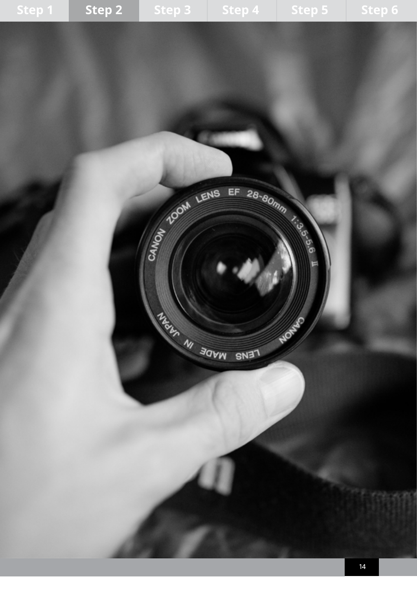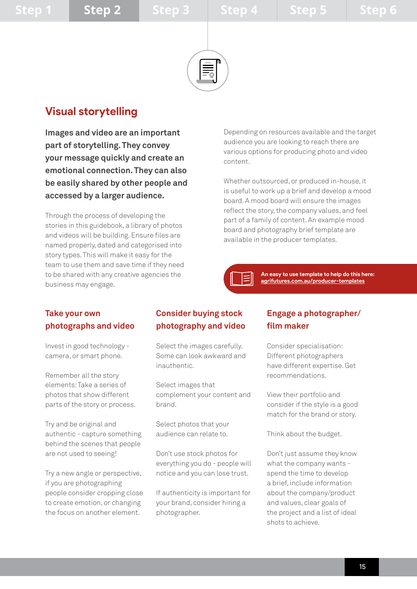

## **Visual storytelling**

**Images and video are an important part of storytelling. They convey your message quickly and create an emotional connection. They can also be easily shared by other people and accessed by a larger audience.** 

Through the process of developing the stories in this guidebook, a library of photos and videos will be building. Ensure files are named properly, dated and categorised into story types. This will make it easy for the team to use them and save time if they need to be shared with any creative agencies the business may engage.

Depending on resources available and the target audience you are looking to reach there are various options for producing photo and video content.

Whether outsourced, or produced in-house, it is useful to work up a brief and develop a mood board. A mood board will ensure the images reflect the story, the company values, and feel part of a family of content. An example mood board and photography brief template are available in the producer templates.

> **An easy to use template to help do this here: [agrifutures.com.au/producer-templates](http://agrifutures.com.au/producer-templates)**

### **Take your own photographs and video**

Invest in good technology camera, or smart phone.

Remember all the story elements: Take a series of photos that show different parts of the story or process.

Try and be original and authentic - capture something behind the scenes that people are not used to seeing!

Try a new angle or perspective, if you are photographing people consider cropping close to create emotion, or changing the focus on another element.

#### **Consider buying stock photography and video**

Select the images carefully. Some can look awkward and inauthentic.

Select images that complement your content and brand.

Select photos that your audience can relate to.

Don't use stock photos for everything you do - people will notice and you can lose trust.

If authenticity is important for your brand, consider hiring a photographer.

### **Engage a photographer/ film maker**

Consider specialisation: Different photographers have different expertise. Get recommendations.

View their portfolio and consider if the style is a good match for the brand or story.

Think about the budget.

Don't just assume they know what the company wants spend the time to develop a brief, include information about the company/product and values, clear goals of the project and a list of ideal shots to achieve.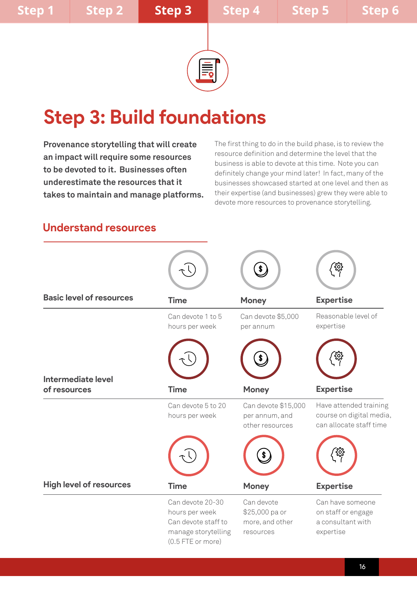

# **Step 3: Build foundations**

**Provenance storytelling that will create an impact will require some resources to be devoted to it. Businesses often underestimate the resources that it takes to maintain and manage platforms.** The first thing to do in the build phase, is to review the resource definition and determine the level that the business is able to devote at this time. Note you can definitely change your mind later! In fact, many of the businesses showcased started at one level and then as their expertise (and businesses) grew they were able to devote more resources to provenance storytelling.

## **Understand resources**

|                                    |                                                                                                       | $\boldsymbol{\hat{s}}$                                       |                                                                               |
|------------------------------------|-------------------------------------------------------------------------------------------------------|--------------------------------------------------------------|-------------------------------------------------------------------------------|
| <b>Basic level of resources</b>    | <b>Time</b>                                                                                           | <b>Money</b>                                                 | <b>Expertise</b>                                                              |
|                                    | Can devote 1 to 5<br>hours per week                                                                   | Can devote \$5,000<br>per annum                              | Reasonable level of<br>expertise                                              |
|                                    |                                                                                                       |                                                              |                                                                               |
| Intermediate level<br>of resources | <b>Time</b>                                                                                           | <b>Money</b>                                                 | <b>Expertise</b>                                                              |
|                                    | Can devote 5 to 20<br>hours per week                                                                  | Can devote \$15,000<br>per annum, and<br>other resources     | Have attended training<br>course on digital media,<br>can allocate staff time |
|                                    |                                                                                                       | \$                                                           | ર્ણ્                                                                          |
| <b>High level of resources</b>     | <b>Time</b>                                                                                           | <b>Money</b>                                                 | <b>Expertise</b>                                                              |
|                                    | Can devote 20-30<br>hours per week<br>Can devote staff to<br>manage storytelling<br>(0.5 FTE or more) | Can devote<br>\$25,000 pa or<br>more, and other<br>resources | Can have someone<br>on staff or engage<br>a consultant with<br>expertise      |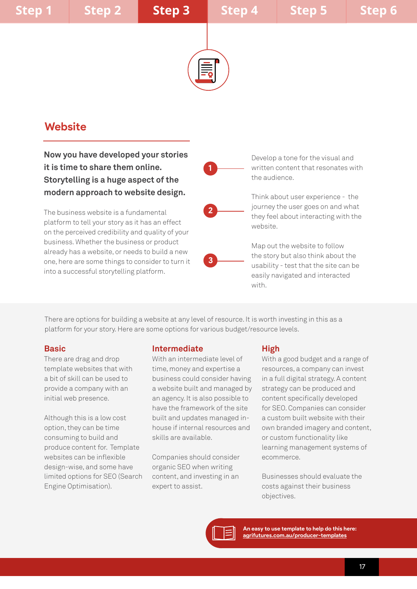

**1**

**2**

**3**

## **Website**

**Now you have developed your stories it is time to share them online. Storytelling is a huge aspect of the modern approach to website design.** 

The business website is a fundamental platform to tell your story as it has an effect on the perceived credibility and quality of your business. Whether the business or product already has a website, or needs to build a new one, here are some things to consider to turn it into a successful storytelling platform.

Develop a tone for the visual and written content that resonates with the audience.

Think about user experience - the journey the user goes on and what they feel about interacting with the website.

Map out the website to follow the story but also think about the usability - test that the site can be easily navigated and interacted with.

There are options for building a website at any level of resource. It is worth investing in this as a platform for your story. Here are some options for various budget/resource levels.

#### **Basic**

There are drag and drop template websites that with a bit of skill can be used to provide a company with an initial web presence.

Although this is a low cost option, they can be time consuming to build and produce content for. Template websites can be inflexible design-wise, and some have limited options for SEO (Search Engine Optimisation).

#### **Intermediate**

With an intermediate level of time, money and expertise a business could consider having a website built and managed by an agency. It is also possible to have the framework of the site built and updates managed inhouse if internal resources and skills are available.

Companies should consider organic SEO when writing content, and investing in an expert to assist.

#### **High**

With a good budget and a range of resources, a company can invest in a full digital strategy. A content strategy can be produced and content specifically developed for SEO. Companies can consider a custom built website with their own branded imagery and content, or custom functionality like learning management systems of ecommerce.

Businesses should evaluate the costs against their business objectives.

**An easy to use template to help do this here: [agrifutures.com.au/producer-templates](http://agrifutures.com.au/producer-templates)**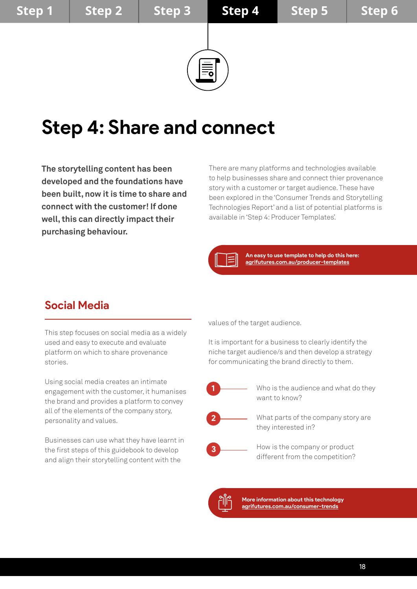

# **Step 4: Share and connect**

**The storytelling content has been developed and the foundations have been built, now it is time to share and connect with the customer! If done well, this can directly impact their purchasing behaviour.**

There are many platforms and technologies available to help businesses share and connect thier provenance story with a customer or target audience. These have been explored in the 'Consumer Trends and Storytelling Technologies Report' and a list of potential platforms is available in 'Step 4: Producer Templates'.

**An easy to use template to help do this here: [agrifutures.com.au/producer-templates](http://agrifutures.com.au/producer-templates)**

## **Social Media**

This step focuses on social media as a widely used and easy to execute and evaluate platform on which to share provenance stories.

Using social media creates an intimate engagement with the customer, it humanises the brand and provides a platform to convey all of the elements of the company story, personality and values.

Businesses can use what they have learnt in the first steps of this guidebook to develop and align their storytelling content with the

values of the target audience.

It is important for a business to clearly identify the niche target audience/s and then develop a strategy for communicating the brand directly to them.



Who is the audience and what do they want to know?



What parts of the company story are they interested in?



How is the company or product different from the competition?



**More information about this technology [agrifutures.com.au/consumer-trends](http://agrifutures.com.au/consumer-trends)**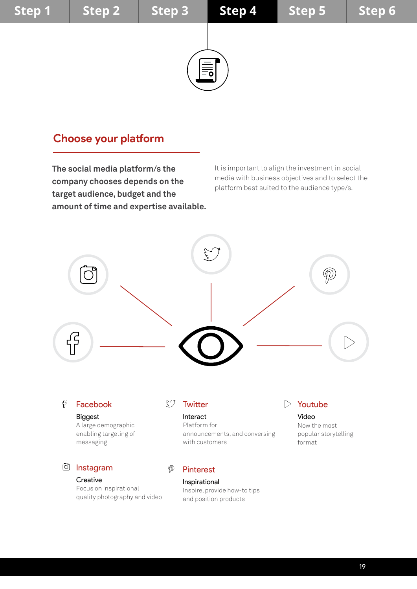

## **Choose your platform**

**The social media platform/s the company chooses depends on the target audience, budget and the amount of time and expertise available.** It is important to align the investment in social media with business objectives and to select the platform best suited to the audience type/s.

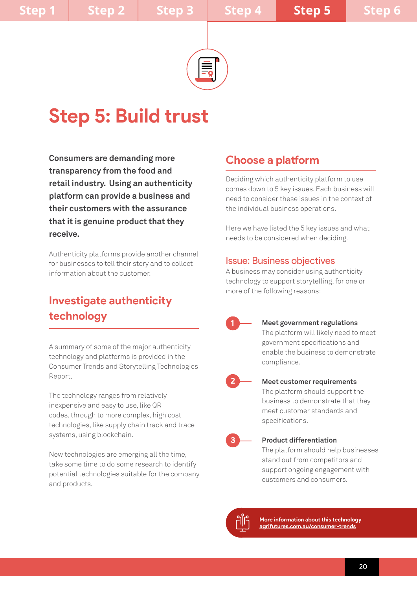

# **Step 5: Build trust**

**Consumers are demanding more transparency from the food and retail industry. Using an authenticity platform can provide a business and their customers with the assurance that it is genuine product that they receive.** 

Authenticity platforms provide another channel for businesses to tell their story and to collect information about the customer.

## **Investigate authenticity technology**

A summary of some of the major authenticity technology and platforms is provided in the Consumer Trends and Storytelling Technologies Report.

The technology ranges from relatively inexpensive and easy to use, like QR codes, through to more complex, high cost technologies, like supply chain track and trace systems, using blockchain.

New technologies are emerging all the time, take some time to do some research to identify potential technologies suitable for the company and products.

## **Choose a platform**

Deciding which authenticity platform to use comes down to 5 key issues. Each business will need to consider these issues in the context of the individual business operations.

Here we have listed the 5 key issues and what needs to be considered when deciding.

#### Issue: Business objectives

A business may consider using authenticity technology to support storytelling, for one or more of the following reasons:



**Meet government regulations** The platform will likely need to meet government specifications and enable the business to demonstrate compliance.



## **Meet customer requirements**

The platform should support the business to demonstrate that they meet customer standards and specifications.



#### **Product differentiation**

The platform should help businesses stand out from competitors and support ongoing engagement with customers and consumers.

**More information about this technology [agrifutures.com.au/consumer-trends](http://agrifutures.com.au/consumer-trends)**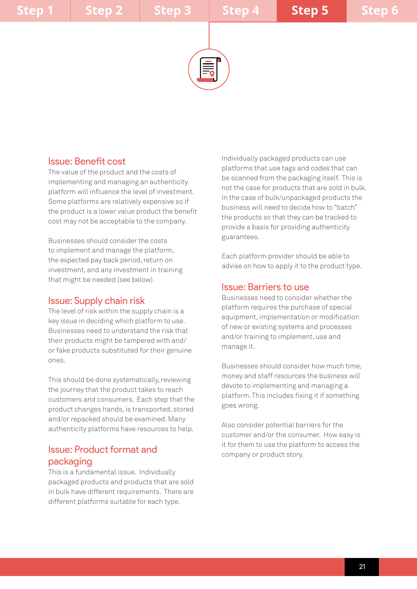

### Issue: Benefit cost

The value of the product and the costs of implementing and managing an authenticity platform will influence the level of investment. Some platforms are relatively expensive so if the product is a lower value product the benefit cost may not be acceptable to the company.

Businesses should consider the costs to implement and manage the platform, the expected pay back period, return on investment, and any investment in training that might be needed (see below).

#### Issue: Supply chain risk

The level of risk within the supply chain is a key issue in deciding which platform to use. Businesses need to understand the risk that their products might be tampered with and/ or fake products substituted for their genuine ones.

This should be done systematically, reviewing the journey that the product takes to reach customers and consumers. Each step that the product changes hands, is transported, stored and/or repacked should be examined. Many authenticity platforms have resources to help.

### Issue: Product format and packaging

This is a fundamental issue. Individually packaged products and products that are sold in bulk have different requirements. There are different platforms suitable for each type.

Individually packaged products can use platforms that use tags and codes that can be scanned from the packaging itself. This is not the case for products that are sold in bulk. In the case of bulk/unpackaged products the business will need to decide how to "batch" the products so that they can be tracked to provide a basis for providing authenticity guarantees.

Each platform provider should be able to advise on how to apply it to the product type.

#### Issue: Barriers to use

Businesses need to consider whether the platform requires the purchase of special equipment, implementation or modification of new or existing systems and processes and/or training to implement, use and manage it.

Businesses should consider how much time, money and staff resources the business will devote to implementing and managing a platform. This includes fixing it if something goes wrong.

Also consider potential barriers for the customer and/or the consumer. How easy is it for them to use the platform to access the company or product story.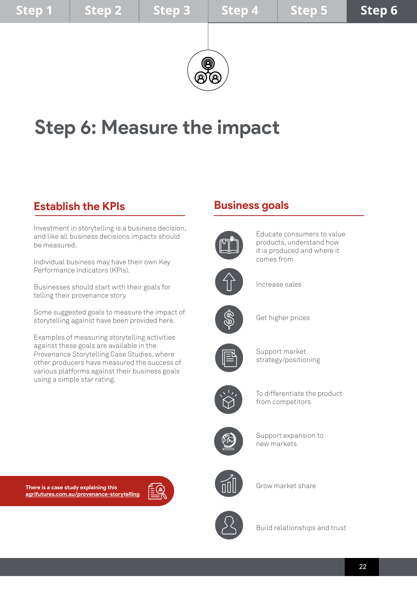

# **Step 6: Measure the impact**

## **Establish the KPIs**

Investment in storytelling is a business decision, and like all business decisions impacts should be measured.

Individual business may have their own Key Performance Indicators (KPIs).

Businesses should start with their goals for telling their provenance story.

Some suggested goals to measure the impact of storytelling against have been provided here.

Examples of measuring storytelling activities against these goals are available in the Provenance Storytelling Case Studies, where other producers have measured the success of various platforms against their business goals using a simple star rating.

## **Business goals**



Educate consumers to value products, understand how it is produced and where it comes from



Increase sales



Get higher prices



Support market strategy/positioning



To differentiate the product from competitors



Support expansion to new markets



Grow market share



Build relationships and trust

**There is a case study explaining this [agrifutures.com.au/provenance-storytelling](http://agrifutures.com.au/provenance-storytelling)**

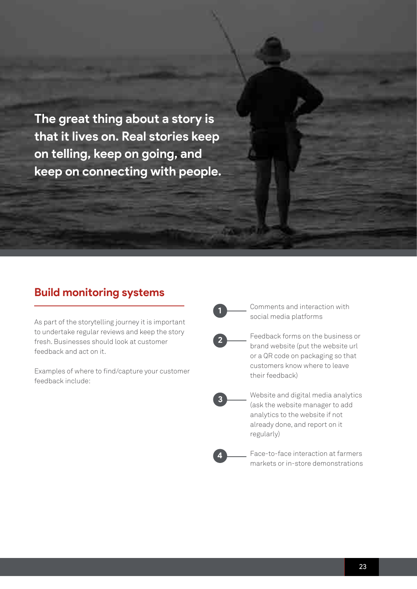**The great thing about a story is that it lives on. Real stories keep on telling, keep on going, and keep on connecting with people.** 

## **Build monitoring systems**

As part of the storytelling journey it is important to undertake regular reviews and keep the story fresh. Businesses should look at customer feedback and act on it.

Examples of where to find/capture your customer feedback include:

**1**

Comments and interaction with social media platforms



Feedback forms on the business or brand website (put the website url or a QR code on packaging so that customers know where to leave their feedback)



**4**

Website and digital media analytics (ask the website manager to add analytics to the website if not already done, and report on it regularly)

Face-to-face interaction at farmers markets or in-store demonstrations